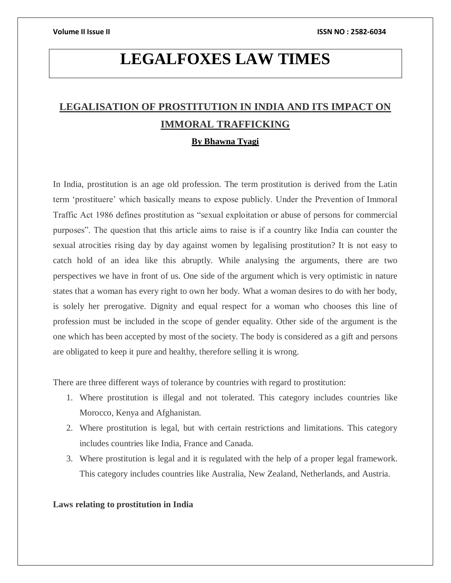# **LEGALFOXES LAW TIMES**

# **LEGALISATION OF PROSTITUTION IN INDIA AND ITS IMPACT ON IMMORAL TRAFFICKING**

# **By Bhawna Tyagi**

In India, prostitution is an age old profession. The term prostitution is derived from the Latin term 'prostituere' which basically means to expose publicly. Under the Prevention of Immoral Traffic Act 1986 defines prostitution as "sexual exploitation or abuse of persons for commercial purposes". The question that this article aims to raise is if a country like India can counter the sexual atrocities rising day by day against women by legalising prostitution? It is not easy to catch hold of an idea like this abruptly. While analysing the arguments, there are two perspectives we have in front of us. One side of the argument which is very optimistic in nature states that a woman has every right to own her body. What a woman desires to do with her body, is solely her prerogative. Dignity and equal respect for a woman who chooses this line of profession must be included in the scope of gender equality. Other side of the argument is the one which has been accepted by most of the society. The body is considered as a gift and persons are obligated to keep it pure and healthy, therefore selling it is wrong.

There are three different ways of tolerance by countries with regard to prostitution:

- 1. Where prostitution is illegal and not tolerated. This category includes countries like Morocco, Kenya and Afghanistan.
- 2. Where prostitution is legal, but with certain restrictions and limitations. This category includes countries like India, France and Canada.
- 3. Where prostitution is legal and it is regulated with the help of a proper legal framework. This category includes countries like Australia, New Zealand, Netherlands, and Austria.

# **Laws relating to prostitution in India**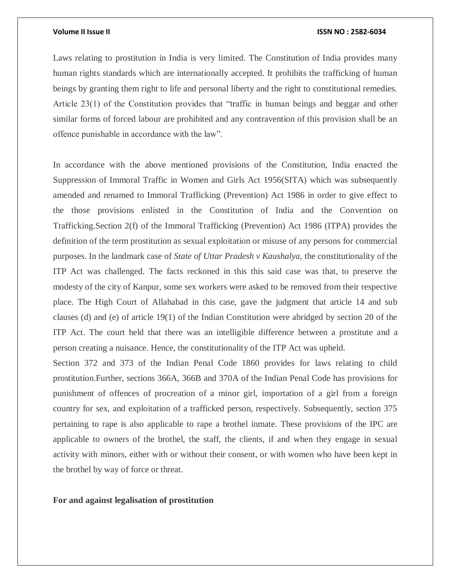### **Volume II Issue II ISSN NO : 2582-6034**

Laws relating to prostitution in India is very limited. The Constitution of India provides many human rights standards which are internationally accepted. It prohibits the trafficking of human beings by granting them right to life and personal liberty and the right to constitutional remedies. Article 23(1) of the Constitution provides that "traffic in human beings and beggar and other similar forms of forced labour are prohibited and any contravention of this provision shall be an offence punishable in accordance with the law".

In accordance with the above mentioned provisions of the Constitution, India enacted the Suppression of Immoral Traffic in Women and Girls Act 1956(SITA) which was subsequently amended and renamed to Immoral Trafficking (Prevention) Act 1986 in order to give effect to the those provisions enlisted in the Constitution of India and the Convention on Trafficking.Section 2(f) of the Immoral Trafficking (Prevention) Act 1986 (ITPA) provides the definition of the term prostitution as sexual exploitation or misuse of any persons for commercial purposes. In the landmark case of *State of Uttar Pradesh v Kaushalya*, the constitutionality of the ITP Act was challenged. The facts reckoned in this this said case was that, to preserve the modesty of the city of Kanpur, some sex workers were asked to be removed from their respective place. The High Court of Allahabad in this case, gave the judgment that article 14 and sub clauses (d) and (e) of article 19(1) of the Indian Constitution were abridged by section 20 of the ITP Act. The court held that there was an intelligible difference between a prostitute and a person creating a nuisance. Hence, the constitutionality of the ITP Act was upheld.

Section 372 and 373 of the Indian Penal Code 1860 provides for laws relating to child prostitution.Further, sections 366A, 366B and 370A of the Indian Penal Code has provisions for punishment of offences of procreation of a minor girl, importation of a girl from a foreign country for sex, and exploitation of a trafficked person, respectively. Subsequently, section 375 pertaining to rape is also applicable to rape a brothel inmate. These provisions of the IPC are applicable to owners of the brothel, the staff, the clients, if and when they engage in sexual activity with minors, either with or without their consent, or with women who have been kept in the brothel by way of force or threat.

## **For and against legalisation of prostitution**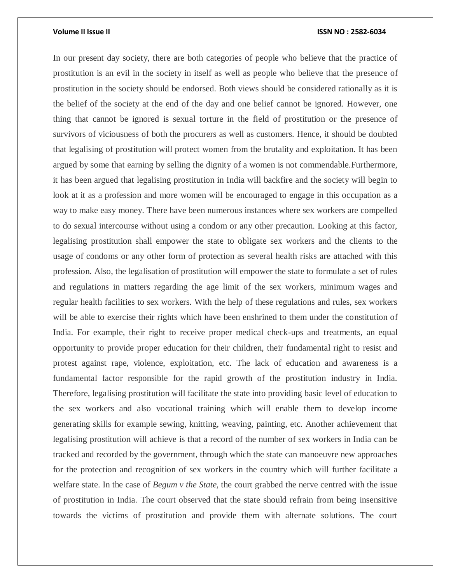### **Volume II Issue II ISSN NO : 2582-6034**

In our present day society, there are both categories of people who believe that the practice of prostitution is an evil in the society in itself as well as people who believe that the presence of prostitution in the society should be endorsed. Both views should be considered rationally as it is the belief of the society at the end of the day and one belief cannot be ignored. However, one thing that cannot be ignored is sexual torture in the field of prostitution or the presence of survivors of viciousness of both the procurers as well as customers. Hence, it should be doubted that legalising of prostitution will protect women from the brutality and exploitation. It has been argued by some that earning by selling the dignity of a women is not commendable.Furthermore, it has been argued that legalising prostitution in India will backfire and the society will begin to look at it as a profession and more women will be encouraged to engage in this occupation as a way to make easy money. There have been numerous instances where sex workers are compelled to do sexual intercourse without using a condom or any other precaution. Looking at this factor, legalising prostitution shall empower the state to obligate sex workers and the clients to the usage of condoms or any other form of protection as several health risks are attached with this profession. Also, the legalisation of prostitution will empower the state to formulate a set of rules and regulations in matters regarding the age limit of the sex workers, minimum wages and regular health facilities to sex workers. With the help of these regulations and rules, sex workers will be able to exercise their rights which have been enshrined to them under the constitution of India. For example, their right to receive proper medical check-ups and treatments, an equal opportunity to provide proper education for their children, their fundamental right to resist and protest against rape, violence, exploitation, etc. The lack of education and awareness is a fundamental factor responsible for the rapid growth of the prostitution industry in India. Therefore, legalising prostitution will facilitate the state into providing basic level of education to the sex workers and also vocational training which will enable them to develop income generating skills for example sewing, knitting, weaving, painting, etc. Another achievement that legalising prostitution will achieve is that a record of the number of sex workers in India can be tracked and recorded by the government, through which the state can manoeuvre new approaches for the protection and recognition of sex workers in the country which will further facilitate a welfare state. In the case of *Begum v the State,* the court grabbed the nerve centred with the issue of prostitution in India. The court observed that the state should refrain from being insensitive towards the victims of prostitution and provide them with alternate solutions. The court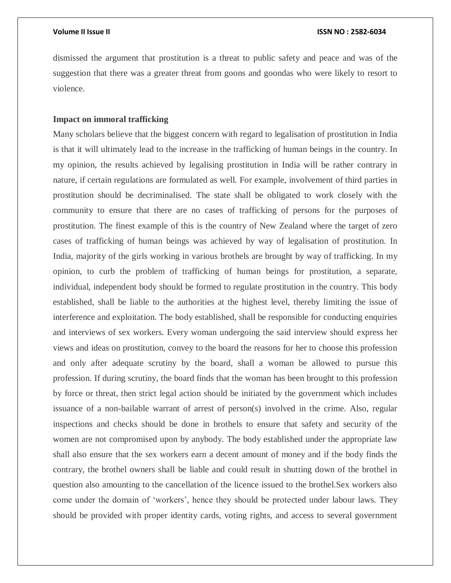dismissed the argument that prostitution is a threat to public safety and peace and was of the suggestion that there was a greater threat from goons and goondas who were likely to resort to violence.

# **Impact on immoral trafficking**

Many scholars believe that the biggest concern with regard to legalisation of prostitution in India is that it will ultimately lead to the increase in the trafficking of human beings in the country. In my opinion, the results achieved by legalising prostitution in India will be rather contrary in nature, if certain regulations are formulated as well. For example, involvement of third parties in prostitution should be decriminalised. The state shall be obligated to work closely with the community to ensure that there are no cases of trafficking of persons for the purposes of prostitution. The finest example of this is the country of New Zealand where the target of zero cases of trafficking of human beings was achieved by way of legalisation of prostitution. In India, majority of the girls working in various brothels are brought by way of trafficking. In my opinion, to curb the problem of trafficking of human beings for prostitution, a separate, individual, independent body should be formed to regulate prostitution in the country. This body established, shall be liable to the authorities at the highest level, thereby limiting the issue of interference and exploitation. The body established, shall be responsible for conducting enquiries and interviews of sex workers. Every woman undergoing the said interview should express her views and ideas on prostitution, convey to the board the reasons for her to choose this profession and only after adequate scrutiny by the board, shall a woman be allowed to pursue this profession. If during scrutiny, the board finds that the woman has been brought to this profession by force or threat, then strict legal action should be initiated by the government which includes issuance of a non-bailable warrant of arrest of person(s) involved in the crime. Also, regular inspections and checks should be done in brothels to ensure that safety and security of the women are not compromised upon by anybody. The body established under the appropriate law shall also ensure that the sex workers earn a decent amount of money and if the body finds the contrary, the brothel owners shall be liable and could result in shutting down of the brothel in question also amounting to the cancellation of the licence issued to the brothel.Sex workers also come under the domain of 'workers', hence they should be protected under labour laws. They should be provided with proper identity cards, voting rights, and access to several government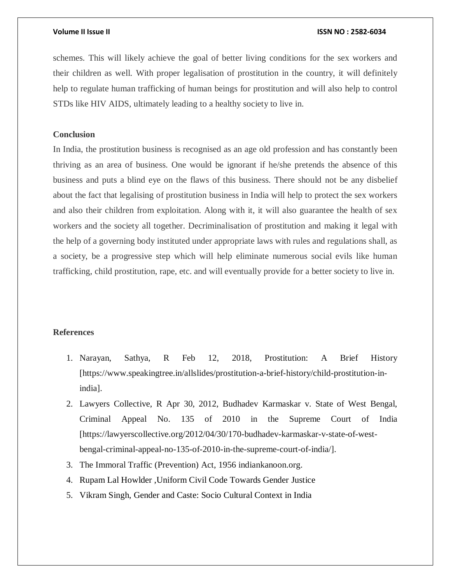### **Volume II Issue II ISSN NO : 2582-6034**

schemes. This will likely achieve the goal of better living conditions for the sex workers and their children as well. With proper legalisation of prostitution in the country, it will definitely help to regulate human trafficking of human beings for prostitution and will also help to control STDs like HIV AIDS, ultimately leading to a healthy society to live in.

# **Conclusion**

In India, the prostitution business is recognised as an age old profession and has constantly been thriving as an area of business. One would be ignorant if he/she pretends the absence of this business and puts a blind eye on the flaws of this business. There should not be any disbelief about the fact that legalising of prostitution business in India will help to protect the sex workers and also their children from exploitation. Along with it, it will also guarantee the health of sex workers and the society all together. Decriminalisation of prostitution and making it legal with the help of a governing body instituted under appropriate laws with rules and regulations shall, as a society, be a progressive step which will help eliminate numerous social evils like human trafficking, child prostitution, rape, etc. and will eventually provide for a better society to live in.

# **References**

- 1. Narayan, Sathya, R Feb 12, 2018, Prostitution: A Brief History [https://www.speakingtree.in/allslides/prostitution-a-brief-history/child-prostitution-inindia].
- 2. Lawyers Collective, R Apr 30, 2012, Budhadev Karmaskar v. State of West Bengal, Criminal Appeal No. 135 of 2010 in the Supreme Court of India [https://lawyerscollective.org/2012/04/30/170-budhadev-karmaskar-v-state-of-westbengal-criminal-appeal-no-135-of-2010-in-the-supreme-court-of-india/].
- 3. The Immoral Traffic (Prevention) Act, 1956 indiankanoon.org.
- 4. Rupam Lal Howlder ,Uniform Civil Code Towards Gender Justice
- 5. Vikram Singh, Gender and Caste: Socio Cultural Context in India